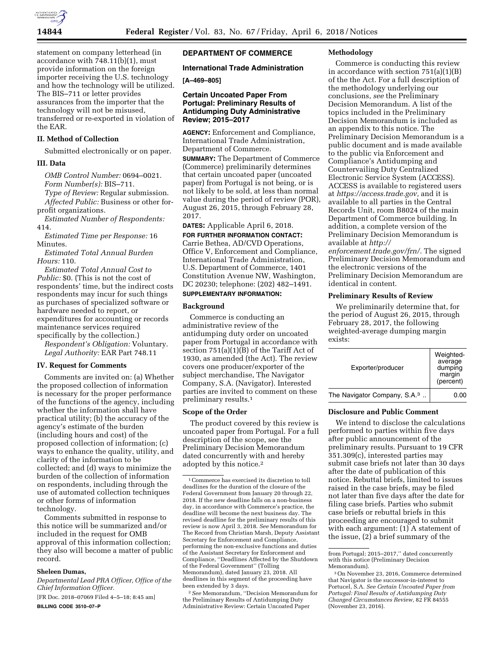

statement on company letterhead (in accordance with 748.11(b)(1), must provide information on the foreign importer receiving the U.S. technology and how the technology will be utilized. The BIS–711 or letter provides assurances from the importer that the technology will not be misused, transferred or re-exported in violation of the EAR.

## **II. Method of Collection**

Submitted electronically or on paper.

#### **III. Data**

*OMB Control Number:* 0694–0021. *Form Number(s):* BIS–711.

*Type of Review:* Regular submission. *Affected Public:* Business or other forprofit organizations.

*Estimated Number of Respondents:*  414.

*Estimated Time per Response:* 16 Minutes.

*Estimated Total Annual Burden Hours:* 110.

*Estimated Total Annual Cost to Public:* \$0. (This is not the cost of respondents' time, but the indirect costs respondents may incur for such things as purchases of specialized software or hardware needed to report, or expenditures for accounting or records maintenance services required specifically by the collection.)

*Respondent's Obligation:* Voluntary. *Legal Authority:* EAR Part 748.11

## **IV. Request for Comments**

Comments are invited on: (a) Whether the proposed collection of information is necessary for the proper performance of the functions of the agency, including whether the information shall have practical utility; (b) the accuracy of the agency's estimate of the burden (including hours and cost) of the proposed collection of information; (c) ways to enhance the quality, utility, and clarity of the information to be collected; and (d) ways to minimize the burden of the collection of information on respondents, including through the use of automated collection techniques or other forms of information technology.

Comments submitted in response to this notice will be summarized and/or included in the request for OMB approval of this information collection; they also will become a matter of public record.

## **Sheleen Dumas,**

*Departmental Lead PRA Officer, Office of the Chief Information Officer.* 

[FR Doc. 2018–07069 Filed 4–5–18; 8:45 am] **BILLING CODE 3510–07–P** 

# **DEPARTMENT OF COMMERCE**

## **International Trade Administration**

## **[A–469–805]**

## **Certain Uncoated Paper From Portugal: Preliminary Results of Antidumping Duty Administrative Review; 2015–2017**

**AGENCY:** Enforcement and Compliance, International Trade Administration, Department of Commerce.

**SUMMARY:** The Department of Commerce (Commerce) preliminarily determines that certain uncoated paper (uncoated paper) from Portugal is not being, or is not likely to be sold, at less than normal value during the period of review (POR), August 26, 2015, through February 28, 2017.

**DATES:** Applicable April 6, 2018.

**FOR FURTHER INFORMATION CONTACT:**  Carrie Bethea, AD/CVD Operations, Office V, Enforcement and Compliance, International Trade Administration, U.S. Department of Commerce, 1401 Constitution Avenue NW, Washington, DC 20230; telephone: (202) 482–1491.

# **SUPPLEMENTARY INFORMATION:**

## **Background**

Commerce is conducting an administrative review of the antidumping duty order on uncoated paper from Portugal in accordance with section 751(a)(1)(B) of the Tariff Act of 1930, as amended (the Act). The review covers one producer/exporter of the subject merchandise, The Navigator Company, S.A. (Navigator). Interested parties are invited to comment on these preliminary results.1

#### **Scope of the Order**

The product covered by this review is uncoated paper from Portugal. For a full description of the scope, see the Preliminary Decision Memorandum dated concurrently with and hereby adopted by this notice.2

2*See* Memorandum, ''Decision Memorandum for the Preliminary Results of Antidumping Duty Administrative Review: Certain Uncoated Paper

#### **Methodology**

Commerce is conducting this review in accordance with section  $751(a)(1)(B)$ of the the Act. For a full description of the methodology underlying our conclusions, *see* the Preliminary Decision Memorandum. A list of the topics included in the Preliminary Decision Memorandum is included as an appendix to this notice. The Preliminary Decision Memorandum is a public document and is made available to the public via Enforcement and Compliance's Antidumping and Countervailing Duty Centralized Electronic Service System (ACCESS). ACCESS is available to registered users at *[https://access.trade.gov,](https://access.trade.gov)* and it is available to all parties in the Central Records Unit, room B8024 of the main Department of Commerce building. In addition, a complete version of the Preliminary Decision Memorandum is available at *[http://](http://enforcement.trade.gov/frn/)*

*[enforcement.trade.gov/frn/.](http://enforcement.trade.gov/frn/)* The signed Preliminary Decision Memorandum and the electronic versions of the Preliminary Decision Memorandum are identical in content.

#### **Preliminary Results of Review**

We preliminarily determine that, for the period of August 26, 2015, through February 28, 2017, the following weighted-average dumping margin exists:

| Exporter/producer                        | Weighted-<br>average<br>dumping<br>margin<br>(percent) |
|------------------------------------------|--------------------------------------------------------|
| The Navigator Company, S.A. <sup>3</sup> | 0.00                                                   |

## **Disclosure and Public Comment**

We intend to disclose the calculations performed to parties within five days after public announcement of the preliminary results. Pursuant to 19 CFR 351.309(c), interested parties may submit case briefs not later than 30 days after the date of publication of this notice. Rebuttal briefs, limited to issues raised in the case briefs, may be filed not later than five days after the date for filing case briefs. Parties who submit case briefs or rebuttal briefs in this proceeding are encouraged to submit with each argument: (1) A statement of the issue, (2) a brief summary of the

<sup>1</sup>Commerce has exercised its discretion to toll deadlines for the duration of the closure of the Federal Government from January 20 through 22, 2018. If the new deadline falls on a non-business day, in accordance with Commerce's practice, the deadline will become the next business day. The revised deadline for the preliminary results of this review is now April 3, 2018. *See* Memorandum for The Record from Christian Marsh, Deputy Assistant Secretary for Enforcement and Compliance, performing the non-exclusive functions and duties of the Assistant Secretary for Enforcement and Compliance, ''Deadlines Affected by the Shutdown of the Federal Government'' (Tolling Memorandum), dated January 23, 2018. All deadlines in this segment of the proceeding have been extended by 3 days.

from Portugal; 2015-2017," dated concurrently with this notice (Preliminary Decision Memorandum).

<sup>3</sup>On November 23, 2016, Commerce determined that Navigator is the successor-in-interest to Portucel, S.A. *See Certain Uncoated Paper from Portugal: Final Results of Antidumping Duty Changed Circumstances Review,* 82 FR 84555 (November 23, 2016).